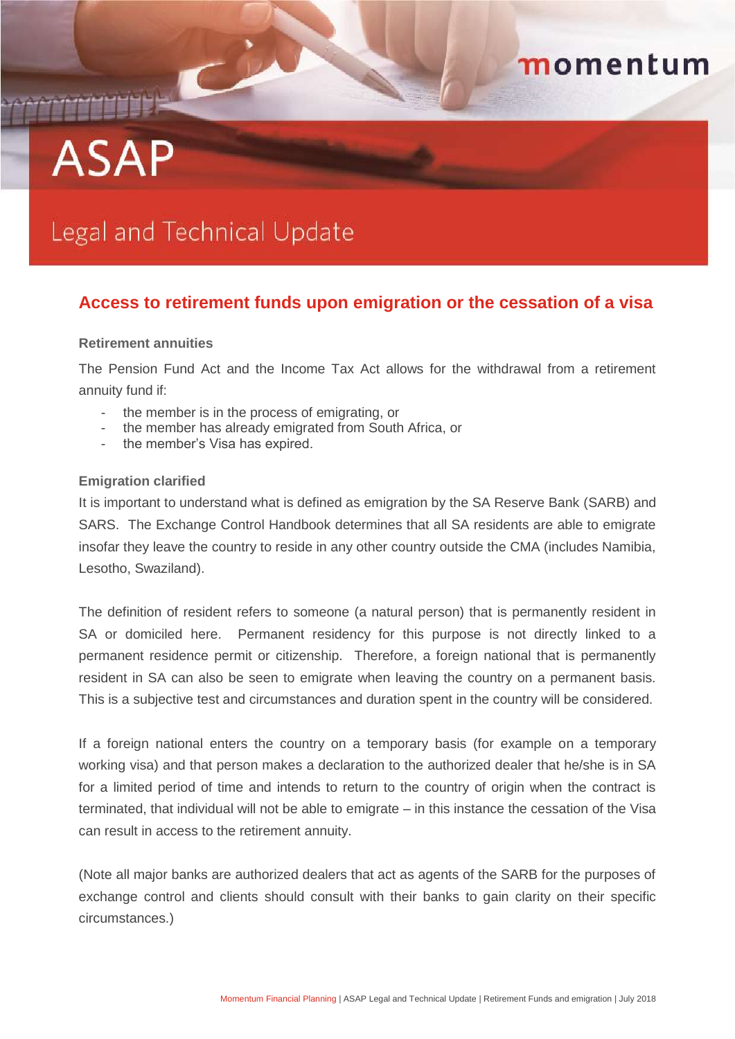## momentum

# **ASAP**

## Legal and Technical Update

### **Access to retirement funds upon emigration or the cessation of a visa**

#### **Retirement annuities**

The Pension Fund Act and the Income Tax Act allows for the withdrawal from a retirement annuity fund if:

- the member is in the process of emigrating, or
- the member has already emigrated from South Africa, or
- the member's Visa has expired.

#### **Emigration clarified**

It is important to understand what is defined as emigration by the SA Reserve Bank (SARB) and SARS. The Exchange Control Handbook determines that all SA residents are able to emigrate insofar they leave the country to reside in any other country outside the CMA (includes Namibia, Lesotho, Swaziland).

The definition of resident refers to someone (a natural person) that is permanently resident in SA or domiciled here. Permanent residency for this purpose is not directly linked to a permanent residence permit or citizenship. Therefore, a foreign national that is permanently resident in SA can also be seen to emigrate when leaving the country on a permanent basis. This is a subjective test and circumstances and duration spent in the country will be considered.

If a foreign national enters the country on a temporary basis (for example on a temporary working visa) and that person makes a declaration to the authorized dealer that he/she is in SA for a limited period of time and intends to return to the country of origin when the contract is terminated, that individual will not be able to emigrate – in this instance the cessation of the Visa can result in access to the retirement annuity.

(Note all major banks are authorized dealers that act as agents of the SARB for the purposes of exchange control and clients should consult with their banks to gain clarity on their specific circumstances.)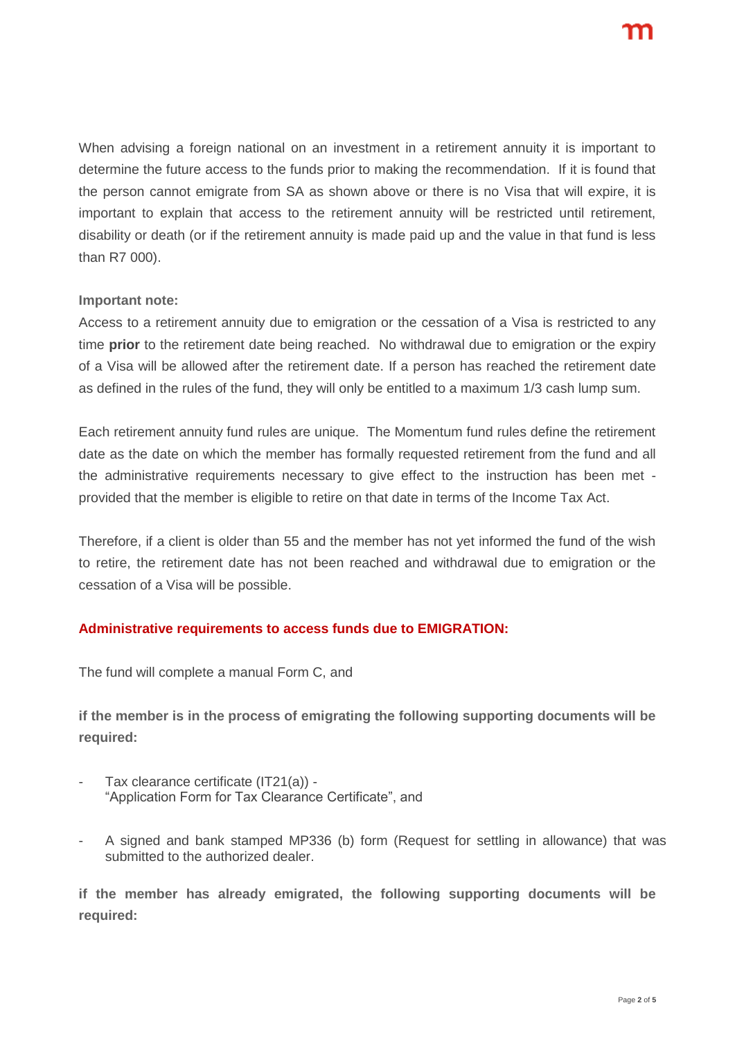When advising a foreign national on an investment in a retirement annuity it is important to determine the future access to the funds prior to making the recommendation. If it is found that the person cannot emigrate from SA as shown above or there is no Visa that will expire, it is important to explain that access to the retirement annuity will be restricted until retirement, disability or death (or if the retirement annuity is made paid up and the value in that fund is less than R7 000).

#### **Important note:**

Access to a retirement annuity due to emigration or the cessation of a Visa is restricted to any time **prior** to the retirement date being reached. No withdrawal due to emigration or the expiry of a Visa will be allowed after the retirement date. If a person has reached the retirement date as defined in the rules of the fund, they will only be entitled to a maximum 1/3 cash lump sum.

Each retirement annuity fund rules are unique. The Momentum fund rules define the retirement date as the date on which the member has formally requested retirement from the fund and all the administrative requirements necessary to give effect to the instruction has been met provided that the member is eligible to retire on that date in terms of the Income Tax Act.

Therefore, if a client is older than 55 and the member has not yet informed the fund of the wish to retire, the retirement date has not been reached and withdrawal due to emigration or the cessation of a Visa will be possible.

#### **Administrative requirements to access funds due to EMIGRATION:**

The fund will complete a manual Form C, and

**if the member is in the process of emigrating the following supporting documents will be required:**

- Tax clearance certificate (IT21(a)) -"Application Form for Tax Clearance Certificate", and
- A signed and bank stamped MP336 (b) form (Request for settling in allowance) that was submitted to the authorized dealer.

**if the member has already emigrated, the following supporting documents will be required:**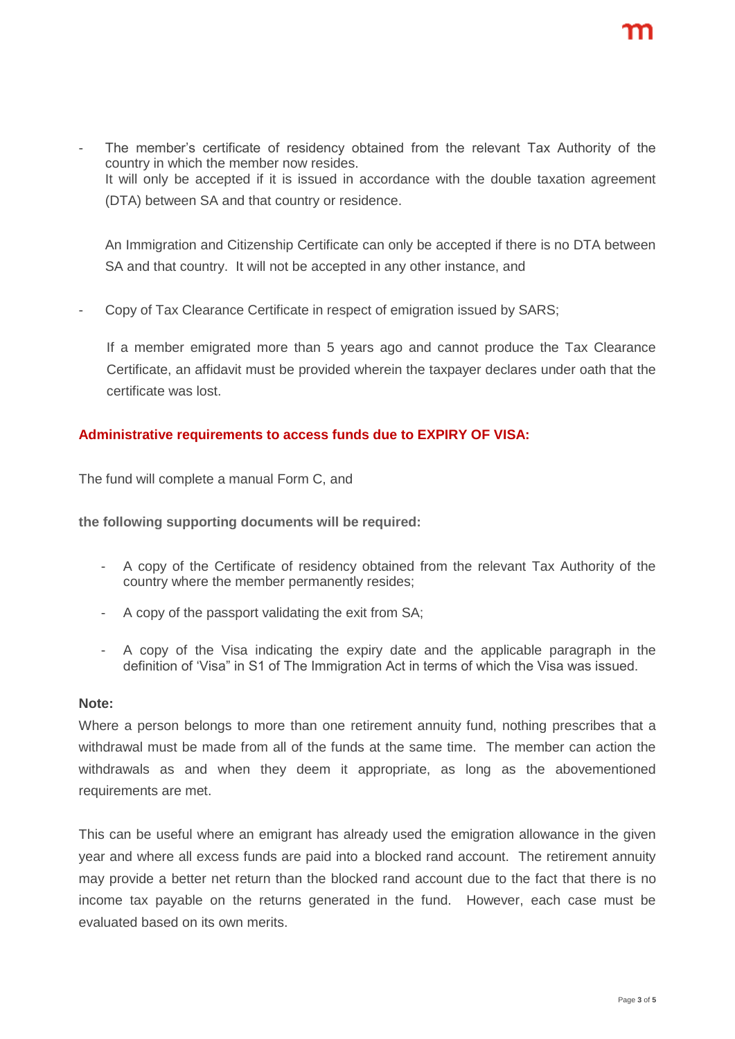The member's certificate of residency obtained from the relevant Tax Authority of the country in which the member now resides. It will only be accepted if it is issued in accordance with the double taxation agreement (DTA) between SA and that country or residence.

An Immigration and Citizenship Certificate can only be accepted if there is no DTA between SA and that country. It will not be accepted in any other instance, and

Copy of Tax Clearance Certificate in respect of emigration issued by SARS;

If a member emigrated more than 5 years ago and cannot produce the Tax Clearance Certificate, an affidavit must be provided wherein the taxpayer declares under oath that the certificate was lost.

#### **Administrative requirements to access funds due to EXPIRY OF VISA:**

The fund will complete a manual Form C, and

**the following supporting documents will be required:**

- A copy of the Certificate of residency obtained from the relevant Tax Authority of the country where the member permanently resides;
- A copy of the passport validating the exit from SA;
- A copy of the Visa indicating the expiry date and the applicable paragraph in the definition of 'Visa" in S1 of The Immigration Act in terms of which the Visa was issued.

#### **Note:**

Where a person belongs to more than one retirement annuity fund, nothing prescribes that a withdrawal must be made from all of the funds at the same time. The member can action the withdrawals as and when they deem it appropriate, as long as the abovementioned requirements are met.

This can be useful where an emigrant has already used the emigration allowance in the given year and where all excess funds are paid into a blocked rand account. The retirement annuity may provide a better net return than the blocked rand account due to the fact that there is no income tax payable on the returns generated in the fund. However, each case must be evaluated based on its own merits.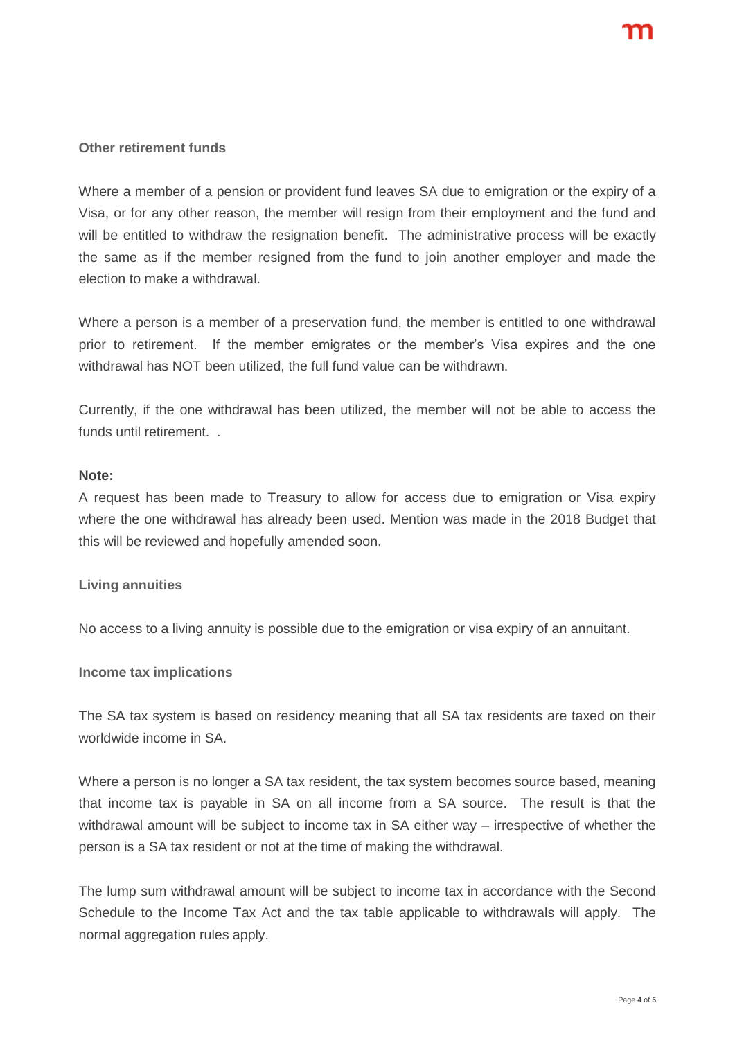#### **Other retirement funds**

Where a member of a pension or provident fund leaves SA due to emigration or the expiry of a Visa, or for any other reason, the member will resign from their employment and the fund and will be entitled to withdraw the resignation benefit. The administrative process will be exactly the same as if the member resigned from the fund to join another employer and made the election to make a withdrawal.

Where a person is a member of a preservation fund, the member is entitled to one withdrawal prior to retirement. If the member emigrates or the member's Visa expires and the one withdrawal has NOT been utilized, the full fund value can be withdrawn.

Currently, if the one withdrawal has been utilized, the member will not be able to access the funds until retirement. .

#### **Note:**

A request has been made to Treasury to allow for access due to emigration or Visa expiry where the one withdrawal has already been used. Mention was made in the 2018 Budget that this will be reviewed and hopefully amended soon.

#### **Living annuities**

No access to a living annuity is possible due to the emigration or visa expiry of an annuitant.

#### **Income tax implications**

The SA tax system is based on residency meaning that all SA tax residents are taxed on their worldwide income in SA.

Where a person is no longer a SA tax resident, the tax system becomes source based, meaning that income tax is payable in SA on all income from a SA source. The result is that the withdrawal amount will be subject to income tax in SA either way – irrespective of whether the person is a SA tax resident or not at the time of making the withdrawal.

The lump sum withdrawal amount will be subject to income tax in accordance with the Second Schedule to the Income Tax Act and the tax table applicable to withdrawals will apply. The normal aggregation rules apply.